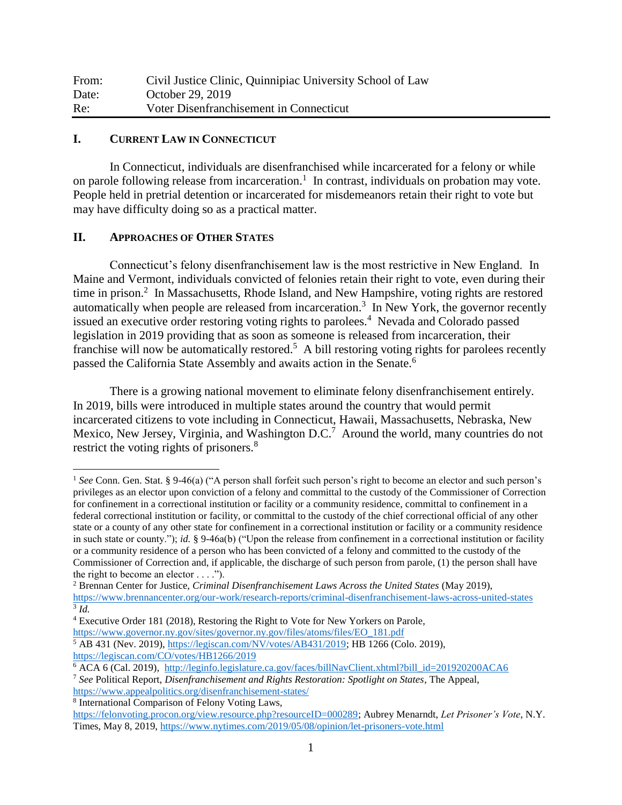| From: | Civil Justice Clinic, Quinnipiac University School of Law |
|-------|-----------------------------------------------------------|
| Date: | October 29, 2019                                          |
| Re:   | Voter Disenfranchisement in Connecticut                   |

## **I. CURRENT LAW IN CONNECTICUT**

In Connecticut, individuals are disenfranchised while incarcerated for a felony or while on parole following release from incarceration.<sup>1</sup> In contrast, individuals on probation may vote. People held in pretrial detention or incarcerated for misdemeanors retain their right to vote but may have difficulty doing so as a practical matter.

## **II. APPROACHES OF OTHER STATES**

 $\overline{\phantom{a}}$ 

Connecticut's felony disenfranchisement law is the most restrictive in New England. In Maine and Vermont, individuals convicted of felonies retain their right to vote, even during their time in prison.<sup>2</sup> In Massachusetts, Rhode Island, and New Hampshire, voting rights are restored automatically when people are released from incarceration.<sup>3</sup> In New York, the governor recently issued an executive order restoring voting rights to parolees.<sup>4</sup> Nevada and Colorado passed legislation in 2019 providing that as soon as someone is released from incarceration, their franchise will now be automatically restored.<sup>5</sup> A bill restoring voting rights for parolees recently passed the California State Assembly and awaits action in the Senate.<sup>6</sup>

There is a growing national movement to eliminate felony disenfranchisement entirely. In 2019, bills were introduced in multiple states around the country that would permit incarcerated citizens to vote including in Connecticut, Hawaii, Massachusetts, Nebraska, New Mexico, New Jersey, Virginia, and Washington D.C.<sup>7</sup> Around the world, many countries do not restrict the voting rights of prisoners.<sup>8</sup>

[https://www.governor.ny.gov/sites/governor.ny.gov/files/atoms/files/EO\\_181.pdf](https://www.governor.ny.gov/sites/governor.ny.gov/files/atoms/files/EO_181.pdf)

8 International Comparison of Felony Voting Laws,

<sup>&</sup>lt;sup>1</sup> See Conn. Gen. Stat. § 9-46(a) ("A person shall forfeit such person's right to become an elector and such person's privileges as an elector upon conviction of a felony and committal to the custody of the Commissioner of Correction for confinement in a correctional institution or facility or a community residence, committal to confinement in a federal correctional institution or facility, or committal to the custody of the chief correctional official of any other state or a county of any other state for confinement in a correctional institution or facility or a community residence in such state or county."); *id.* § 9-46a(b) ("Upon the release from confinement in a correctional institution or facility or a community residence of a person who has been convicted of a felony and committed to the custody of the Commissioner of Correction and, if applicable, the discharge of such person from parole, (1) the person shall have the right to become an elector  $\dots$ .").

<sup>2</sup> Brennan Center for Justice, *Criminal Disenfranchisement Laws Across the United States* (May 2019), <https://www.brennancenter.org/our-work/research-reports/criminal-disenfranchisement-laws-across-united-states> 3 *Id.*

<sup>4</sup> Executive Order 181 (2018), Restoring the Right to Vote for New Yorkers on Parole,

<sup>5</sup> AB 431 (Nev. 2019), [https://legiscan.com/NV/votes/AB431/2019;](https://legiscan.com/NV/votes/AB431/2019) HB 1266 (Colo. 2019), <https://legiscan.com/CO/votes/HB1266/2019>

<sup>6</sup> ACA 6 (Cal. 2019), [http://leginfo.legislature.ca.gov/faces/billNavClient.xhtml?bill\\_id=201920200ACA6](http://leginfo.legislature.ca.gov/faces/billNavClient.xhtml?bill_id=201920200ACA6)

<sup>7</sup> *See* Political Report, *Disenfranchisement and Rights Restoration: Spotlight on States*, The Appeal, <https://www.appealpolitics.org/disenfranchisement-states/>

[https://felonvoting.procon.org/view.resource.php?resourceID=000289;](https://felonvoting.procon.org/view.resource.php?resourceID=000289) Aubrey Menarndt, *Let Prisoner's Vote*, N.Y. Times, May 8, 2019,<https://www.nytimes.com/2019/05/08/opinion/let-prisoners-vote.html>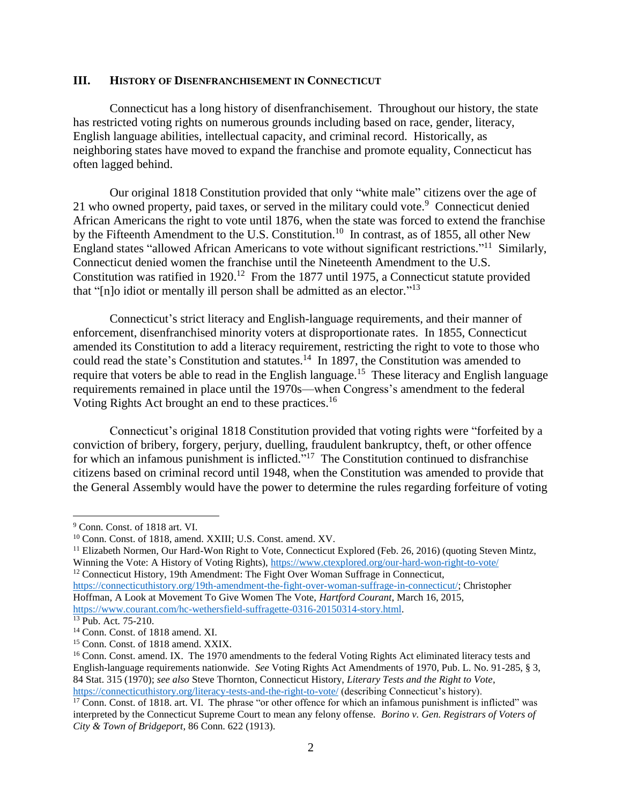## **III. HISTORY OF DISENFRANCHISEMENT IN CONNECTICUT**

Connecticut has a long history of disenfranchisement. Throughout our history, the state has restricted voting rights on numerous grounds including based on race, gender, literacy, English language abilities, intellectual capacity, and criminal record. Historically, as neighboring states have moved to expand the franchise and promote equality, Connecticut has often lagged behind.

Our original 1818 Constitution provided that only "white male" citizens over the age of 21 who owned property, paid taxes, or served in the military could vote.<sup>9</sup> Connecticut denied African Americans the right to vote until 1876, when the state was forced to extend the franchise by the Fifteenth Amendment to the U.S. Constitution.<sup>10</sup> In contrast, as of 1855, all other New England states "allowed African Americans to vote without significant restrictions."<sup>11</sup> Similarly, Connecticut denied women the franchise until the Nineteenth Amendment to the U.S. Constitution was ratified in  $1920$ <sup>12</sup> From the 1877 until 1975, a Connecticut statute provided that "[n]o idiot or mentally ill person shall be admitted as an elector."<sup>13</sup>

Connecticut's strict literacy and English-language requirements, and their manner of enforcement, disenfranchised minority voters at disproportionate rates. In 1855, Connecticut amended its Constitution to add a literacy requirement, restricting the right to vote to those who could read the state's Constitution and statutes.<sup>14</sup> In 1897, the Constitution was amended to require that voters be able to read in the English language.<sup>15</sup> These literacy and English language requirements remained in place until the 1970s—when Congress's amendment to the federal Voting Rights Act brought an end to these practices.<sup>16</sup>

Connecticut's original 1818 Constitution provided that voting rights were "forfeited by a conviction of bribery, forgery, perjury, duelling, fraudulent bankruptcy, theft, or other offence for which an infamous punishment is inflicted."<sup>17</sup> The Constitution continued to disfranchise citizens based on criminal record until 1948, when the Constitution was amended to provide that the General Assembly would have the power to determine the rules regarding forfeiture of voting

[https://connecticuthistory.org/19th-amendment-the-fight-over-woman-suffrage-in-connecticut/;](https://connecticuthistory.org/19th-amendment-the-fight-over-woman-suffrage-in-connecticut/) Christopher Hoffman, A Look at Movement To Give Women The Vote, *Hartford Courant*, March 16, 2015, [https://www.courant.com/hc-wethersfield-suffragette-0316-20150314-story.html.](https://www.courant.com/hc-wethersfield-suffragette-0316-20150314-story.html)

 $\overline{\phantom{a}}$ 

<sup>9</sup> Conn. Const. of 1818 art. VI.

<sup>10</sup> Conn. Const. of 1818, amend. XXIII; U.S. Const. amend. XV.

<sup>&</sup>lt;sup>11</sup> Elizabeth Normen, Our Hard-Won Right to Vote, Connecticut Explored (Feb. 26, 2016) (quoting Steven Mintz, Winning the Vote: A History of Voting Rights),<https://www.ctexplored.org/our-hard-won-right-to-vote/>

<sup>&</sup>lt;sup>12</sup> Connecticut History, 19th Amendment: The Fight Over Woman Suffrage in Connecticut,

 $13$  Pub. Act. 75-210.

<sup>&</sup>lt;sup>14</sup> Conn. Const. of 1818 amend. XI.

<sup>15</sup> Conn. Const. of 1818 amend. XXIX.

<sup>&</sup>lt;sup>16</sup> Conn. Const. amend. IX. The 1970 amendments to the federal Voting Rights Act eliminated literacy tests and English-language requirements nationwide. *See* Voting Rights Act Amendments of 1970, Pub. L. No. 91-285, § 3, 84 Stat. 315 (1970); *see also* Steve Thornton, Connecticut History, *Literary Tests and the Right to Vote*, <https://connecticuthistory.org/literacy-tests-and-the-right-to-vote/> (describing Connecticut's history).

<sup>&</sup>lt;sup>17</sup> Conn. Const. of 1818. art. VI. The phrase "or other offence for which an infamous punishment is inflicted" was interpreted by the Connecticut Supreme Court to mean any felony offense. *Borino v. Gen. Registrars of Voters of City & Town of Bridgeport*, 86 Conn. 622 (1913).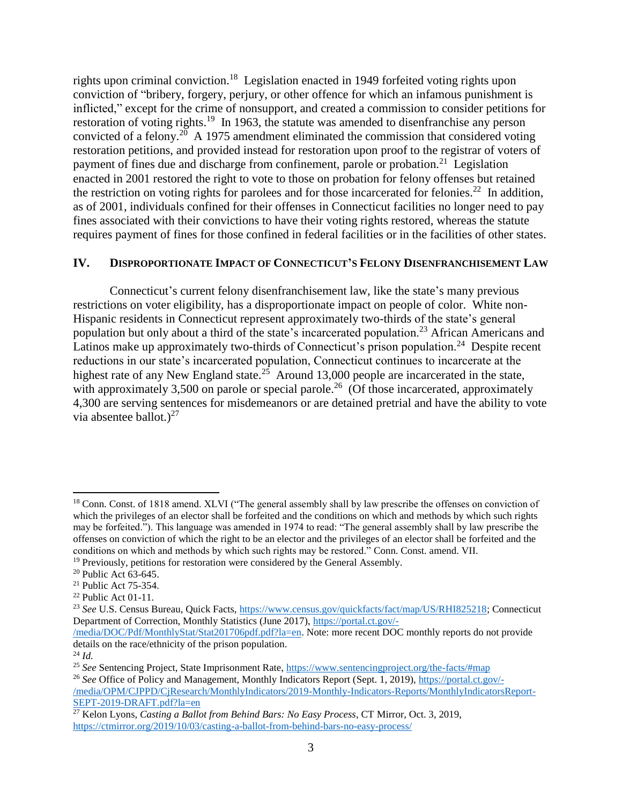rights upon criminal conviction.<sup>18</sup> Legislation enacted in 1949 forfeited voting rights upon conviction of "bribery, forgery, perjury, or other offence for which an infamous punishment is inflicted," except for the crime of nonsupport, and created a commission to consider petitions for restoration of voting rights.<sup>19</sup> In 1963, the statute was amended to disenfranchise any person convicted of a felony.<sup>20</sup> A 1975 amendment eliminated the commission that considered voting restoration petitions, and provided instead for restoration upon proof to the registrar of voters of payment of fines due and discharge from confinement, parole or probation.<sup>21</sup> Legislation enacted in 2001 restored the right to vote to those on probation for felony offenses but retained the restriction on voting rights for parolees and for those incarcerated for felonies.<sup>22</sup> In addition, as of 2001, individuals confined for their offenses in Connecticut facilities no longer need to pay fines associated with their convictions to have their voting rights restored, whereas the statute requires payment of fines for those confined in federal facilities or in the facilities of other states.

# **IV. DISPROPORTIONATE IMPACT OF CONNECTICUT'S FELONY DISENFRANCHISEMENT LAW**

Connecticut's current felony disenfranchisement law, like the state's many previous restrictions on voter eligibility, has a disproportionate impact on people of color. White non-Hispanic residents in Connecticut represent approximately two-thirds of the state's general population but only about a third of the state's incarcerated population.<sup>23</sup> African Americans and Latinos make up approximately two-thirds of Connecticut's prison population.<sup>24</sup> Despite recent reductions in our state's incarcerated population, Connecticut continues to incarcerate at the highest rate of any New England state.<sup>25</sup> Around 13,000 people are incarcerated in the state, with approximately 3,500 on parole or special parole.<sup>26</sup> (Of those incarcerated, approximately 4,300 are serving sentences for misdemeanors or are detained pretrial and have the ability to vote via absentee ballot.) $^{27}$ 

 $\overline{a}$ 

<sup>&</sup>lt;sup>18</sup> Conn. Const. of 1818 amend. XLVI ("The general assembly shall by law prescribe the offenses on conviction of which the privileges of an elector shall be forfeited and the conditions on which and methods by which such rights may be forfeited."). This language was amended in 1974 to read: "The general assembly shall by law prescribe the offenses on conviction of which the right to be an elector and the privileges of an elector shall be forfeited and the conditions on which and methods by which such rights may be restored." Conn. Const. amend. VII.

<sup>&</sup>lt;sup>19</sup> Previously, petitions for restoration were considered by the General Assembly.

<sup>20</sup> Public Act 63-645.

<sup>21</sup> Public Act 75-354.

 $22$  Public Act 01-11.

<sup>23</sup> *See* U.S. Census Bureau, Quick Facts, [https://www.census.gov/quickfacts/fact/map/US/RHI825218;](https://www.census.gov/quickfacts/fact/map/US/RHI825218) Connecticut Department of Correction, Monthly Statistics (June 2017), [https://portal.ct.gov/-](https://portal.ct.gov/-/media/DOC/Pdf/MonthlyStat/Stat201706pdf.pdf?la=en)

[<sup>/</sup>media/DOC/Pdf/MonthlyStat/Stat201706pdf.pdf?la=en.](https://portal.ct.gov/-/media/DOC/Pdf/MonthlyStat/Stat201706pdf.pdf?la=en) Note: more recent DOC monthly reports do not provide details on the race/ethnicity of the prison population.

<sup>24</sup> *Id.*

<sup>25</sup> *See* Sentencing Project, State Imprisonment Rate,<https://www.sentencingproject.org/the-facts/#map> <sup>26</sup> See Office of Policy and Management, Monthly Indicators Report (Sept. 1, 2019), [https://portal.ct.gov/-](https://portal.ct.gov/-/media/OPM/CJPPD/CjResearch/MonthlyIndicators/2019-Monthly-Indicators-Reports/MonthlyIndicatorsReport-SEPT-2019-DRAFT.pdf?la=en) [/media/OPM/CJPPD/CjResearch/MonthlyIndicators/2019-Monthly-Indicators-Reports/MonthlyIndicatorsReport-](https://portal.ct.gov/-/media/OPM/CJPPD/CjResearch/MonthlyIndicators/2019-Monthly-Indicators-Reports/MonthlyIndicatorsReport-SEPT-2019-DRAFT.pdf?la=en)[SEPT-2019-DRAFT.pdf?la=en](https://portal.ct.gov/-/media/OPM/CJPPD/CjResearch/MonthlyIndicators/2019-Monthly-Indicators-Reports/MonthlyIndicatorsReport-SEPT-2019-DRAFT.pdf?la=en)

<sup>&</sup>lt;sup>27</sup> Kelon Lyons, *Casting a Ballot from Behind Bars: No Easy Process*, CT Mirror, Oct. 3, 2019, <https://ctmirror.org/2019/10/03/casting-a-ballot-from-behind-bars-no-easy-process/>